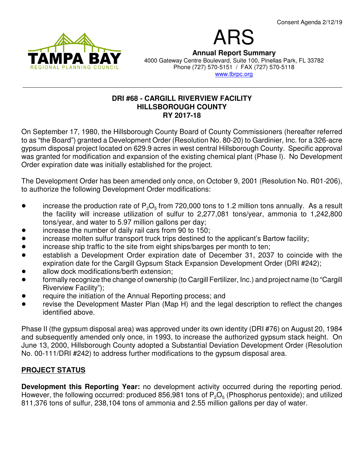

ARS **Annual Report Summary** 4000 Gateway Centre Boulevard, Suite 100, Pinellas Park, FL 33782 Phone (727) 570-5151 / FAX (727) 570-5118 www.tbrpc.org

### **DRI #68 - CARGILL RIVERVIEW FACILITY HILLSBOROUGH COUNTY RY 2017-18**

On September 17, 1980, the Hillsborough County Board of County Commissioners (hereafter referred to as "the Board") granted a Development Order (Resolution No. 80-20) to Gardinier, Inc. for a 326-acre gypsum disposal project located on 629.9 acres in west central Hillsborough County. Specific approval was granted for modification and expansion of the existing chemical plant (Phase I). No Development Order expiration date was initially established for the project.

The Development Order has been amended only once, on October 9, 2001 (Resolution No. R01-206), to authorize the following Development Order modifications:

- increase the production rate of  $P_2O_5$  from 720,000 tons to 1.2 million tons annually. As a result the facility will increase utilization of sulfur to 2,277,081 tons/year, ammonia to 1,242,800 tons/year, and water to 5.97 million gallons per day;
- increase the number of daily rail cars from 90 to 150;
- increase molten sulfur transport truck trips destined to the applicant's Bartow facility;
- increase ship traffic to the site from eight ships/barges per month to ten;
- establish a Development Order expiration date of December 31, 2037 to coincide with the expiration date for the Cargill Gypsum Stack Expansion Development Order (DRI #242);
- allow dock modifications/berth extension;
- ! formally recognize the change of ownership (to Cargill Fertilizer, Inc.) and project name (to "Cargill Riverview Facility");
- require the initiation of the Annual Reporting process; and
- revise the Development Master Plan (Map H) and the legal description to reflect the changes identified above.

Phase II (the gypsum disposal area) was approved under its own identity (DRI #76) on August 20, 1984 and subsequently amended only once, in 1993, to increase the authorized gypsum stack height. On June 13, 2000, Hillsborough County adopted a Substantial Deviation Development Order (Resolution No. 00-111/DRI #242) to address further modifications to the gypsum disposal area.

# **PROJECT STATUS**

**Development this Reporting Year:** no development activity occurred during the reporting period. However, the following occurred: produced 856,981 tons of  $\mathsf{P}_2\mathsf{O}_5$  (Phosphorus pentoxide); and utilized 811,376 tons of sulfur, 238,104 tons of ammonia and 2.55 million gallons per day of water.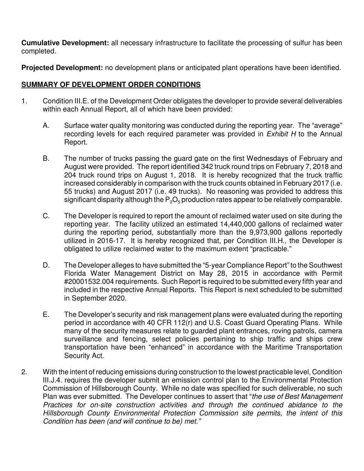**Cumulative Development:** all necessary infrastructure to facilitate the processing of sulfur has been completed.

**Projected Development:** no development plans or anticipated plant operations have been identified.

## **SUMMARY OF DEVELOPMENT ORDER CONDITIONS**

- 1. Condition III.E. of the Development Order obligates the developer to provide several deliverables within each Annual Report, all of which have been provided:
	- A. Surface water quality monitoring was conducted during the reporting year. The "average" recording levels for each required parameter was provided in Exhibit H to the Annual Report.
	- B. The number of trucks passing the guard gate on the first Wednesdays of February and August were provided. The report identified 342 truck round trips on February 7, 2018 and 204 truck round trips on August 1, 2018. It is hereby recognized that the truck traffic increased considerably in comparison with the truck counts obtained in February 2017 (i.e. 55 trucks) and August 2017 (i.e. 49 trucks). No reasoning was provided to address this significant disparity although the  $\mathsf{P}_2\mathsf{O}_5$  production rates appear to be relatively comparable.
	- C. The Developer is required to report the amount of reclaimed water used on site during the reporting year. The facility utilized an estimated 14,440,000 gallons of reclaimed water during the reporting period, substantially more than the 9,973,900 gallons reportedly utilized in 2016-17. It is hereby recognized that, per Condition III.H., the Developer is obligated to utilize reclaimed water to the maximum extent "practicable."
	- D. The Developer alleges to have submitted the "5-year Compliance Report" to the Southwest Florida Water Management District on May 28, 2015 in accordance with Permit #20001532.004 requirements. Such Report is required to be submitted every fifth year and included in the respective Annual Reports. This Report is next scheduled to be submitted in September 2020.
	- E. The Developer's security and risk management plans were evaluated during the reporting period in accordance with 40 CFR 112(r) and U.S. Coast Guard Operating Plans. While many of the security measures relate to guarded plant entrances, roving patrols, camera surveillance and fencing, select policies pertaining to ship traffic and ships crew transportation have been "enhanced" in accordance with the Maritime Transportation Security Act.
- 2. With the intent of reducing emissions during construction to the lowest practicable level, Condition III.J.4. requires the developer submit an emission control plan to the Environmental Protection Commission of Hillsborough County. While no date was specified for such deliverable, no such Plan was ever submitted. The Developer continues to assert that "the use of Best Management" Practices for on-site construction activities and through the continued abidance to the Hillsborough County Environmental Protection Commission site permits, the intent of this Condition has been (and will continue to be) met."